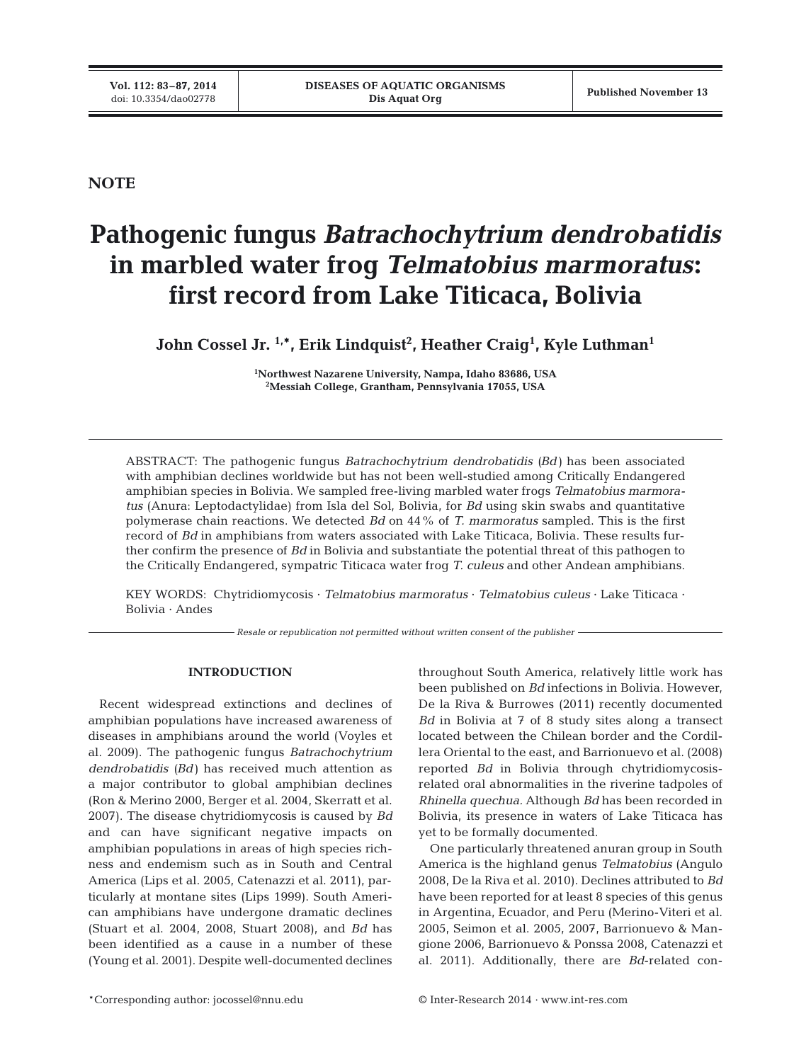**NOTE**

# **Pathogenic fungus** *Batrachochytrium dendrobatidis* **in marbled water frog** *Telmatobius marmoratus***: first record from Lake Titicaca, Bolivia**

 $\bm{\mathrm{John}}$  Cossel Jr.  $^{1,\ast}$ , Erik Lindquist $^2$ , Heather Craig $^1$ , Kyle Luthman $^1$ 

**1 Northwest Nazarene University, Nampa, Idaho 83686, USA 2 Messiah College, Grantham, Pennsylvania 17055, USA**

ABSTRACT: The pathogenic fungus *Batrachochytrium dendrobatidis (Bd)* has been associated with amphibian declines worldwide but has not been well-studied among Critically Endangered amphibian species in Bolivia. We sampled free-living marbled water frogs *Telmatobius marmoratus* (Anura: Leptodactylidae) from Isla del Sol, Bolivia, for *Bd* using skin swabs and quantitative polymerase chain reactions. We detected *Bd* on 44% of *T. marmoratus* sampled. This is the first record of *Bd* in amphibians from waters associated with Lake Titicaca, Bolivia. These results further confirm the presence of *Bd* in Bolivia and substantiate the potential threat of this pathogen to the Critically Endangered, sympatric Titicaca water frog *T. culeus* and other Andean amphibians.

KEY WORDS: Chytridiomycosis · *Telmatobius marmoratus* · *Telmatobius culeus* · Lake Titicaca · Bolivia · Andes

*Resale or republication not permitted without written consent of the publisher*

## **INTRODUCTION**

Recent widespread extinctions and declines of amphibian populations have increased awareness of diseases in amphibians around the world (Voyles et al. 2009). The pathogenic fungus *Batrachochytrium dendrobatidis (Bd)* has received much attention as a major contributor to global amphibian declines (Ron & Merino 2000, Berger et al. 2004, Skerratt et al. 2007). The disease chytridiomycosis is caused by *Bd* and can have significant negative impacts on amphibian populations in areas of high species richness and endemism such as in South and Central America (Lips et al. 2005, Catenazzi et al. 2011), particularly at montane sites (Lips 1999). South American amphibians have undergone dramatic declines (Stuart et al. 2004, 2008, Stuart 2008), and *Bd* has been identified as a cause in a number of these (Young et al. 2001). Despite well-documented declines

throughout South America, relatively little work has been published on *Bd* infections in Bolivia. However, De la Riva & Burrowes (2011) recently documented *Bd* in Bolivia at 7 of 8 study sites along a transect located between the Chilean border and the Cordillera Oriental to the east, and Barrionuevo et al. (2008) reported *Bd* in Bolivia through chytridiomycosisrelated oral abnormalities in the riverine tadpoles of *Rhinella quechua.* Although *Bd* has been recorded in Bolivia, its presence in waters of Lake Titicaca has yet to be formally documented.

One particularly threatened anuran group in South America is the highland genus *Telmatobius* (Angulo 2008, De la Riva et al. 2010). Declines attributed to *Bd* have been reported for at least 8 species of this genus in Argentina, Ecuador, and Peru (Merino-Viteri et al. 2005, Seimon et al. 2005, 2007, Barrionuevo & Mangione 2006, Barrionuevo & Ponssa 2008, Catenazzi et al. 2011). Additionally, there are *Bd*-related con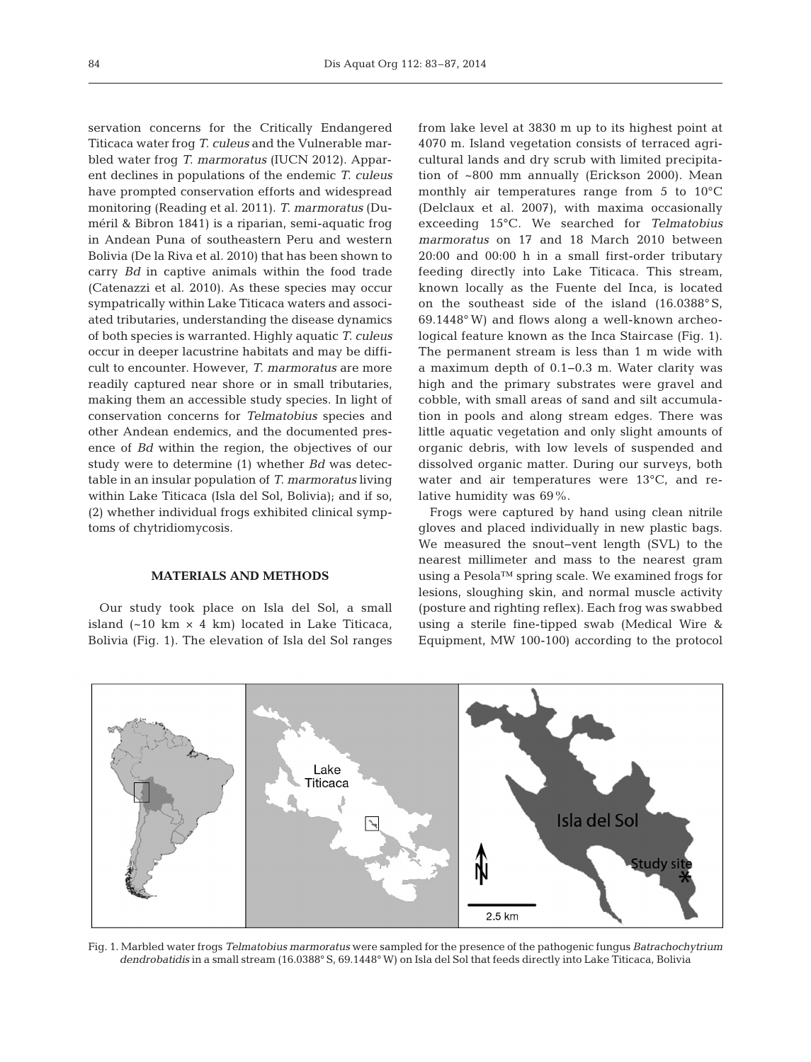servation concerns for the Critically Endangered Titicaca water frog *T. culeus* and the Vulnerable marbled water frog *T. marmoratus* (IUCN 2012). Apparent declines in populations of the endemic *T. culeus* have prompted conservation efforts and widespread monitoring (Reading et al. 2011). *T. marmoratus* (Duméril & Bibron 1841) is a riparian, semi-aquatic frog in Andean Puna of southeastern Peru and western Bolivia (De la Riva et al. 2010) that has been shown to carry *Bd* in captive animals within the food trade (Catenazzi et al. 2010). As these species may occur sympatrically within Lake Titicaca waters and associated tributaries, understanding the disease dynamics of both species is warranted. Highly aquatic *T. culeus* occur in deeper lacustrine habitats and may be difficult to encounter. However, *T. marmoratus* are more readily captured near shore or in small tributaries, making them an accessible study species. In light of conservation concerns for *Telmatobius* species and other Andean endemics, and the documented presence of *Bd* within the region, the objectives of our study were to determine (1) whether *Bd* was detectable in an insular population of *T. marmoratus* living within Lake Titicaca (Isla del Sol, Bolivia); and if so, (2) whether individual frogs exhibited clinical symptoms of chytridiomycosis.

## **MATERIALS AND METHODS**

Our study took place on Isla del Sol, a small island  $(-10 \text{ km} \times 4 \text{ km})$  located in Lake Titicaca, Bolivia (Fig. 1). The elevation of Isla del Sol ranges from lake level at 3830 m up to its highest point at 4070 m. Island vegetation consists of terraced agricultural lands and dry scrub with limited precipitation of ~800 mm annually (Erickson 2000). Mean monthly air temperatures range from 5 to 10°C (Delclaux et al. 2007), with maxima occasionally exceeding 15°C. We searched for *Telmatobius marmoratus* on 17 and 18 March 2010 between 20:00 and 00:00 h in a small first-order tributary feeding directly into Lake Titicaca. This stream, known locally as the Fuente del Inca, is located on the southeast side of the island (16.0388° S, 69.1448° W) and flows along a well-known archeological feature known as the Inca Staircase (Fig. 1). The permanent stream is less than 1 m wide with a maximum depth of 0.1−0.3 m. Water clarity was high and the primary substrates were gravel and cobble, with small areas of sand and silt accumulation in pools and along stream edges. There was little aquatic vegetation and only slight amounts of or ganic debris, with low levels of suspended and dissolved organic matter. During our surveys, both water and air temperatures were 13°C, and relative humidity was 69%.

Frogs were captured by hand using clean nitrile gloves and placed individually in new plastic bags. We measured the snout−vent length (SVL) to the nearest millimeter and mass to the nearest gram using a Pesola™ spring scale. We examined frogs for lesions, sloughing skin, and normal muscle activity (posture and righting reflex). Each frog was swabbed using a sterile fine-tipped swab (Medical Wire & Equipment, MW 100-100) according to the protocol



Fig. 1. Marbled water frogs *Telmatobius marmoratus* were sampled for the presence of the pathogenic fungus *Batrachochytrium dendrobatidis* in a small stream (16.0388° S, 69.1448° W) on Isla del Sol that feeds directly into Lake Titicaca, Bolivia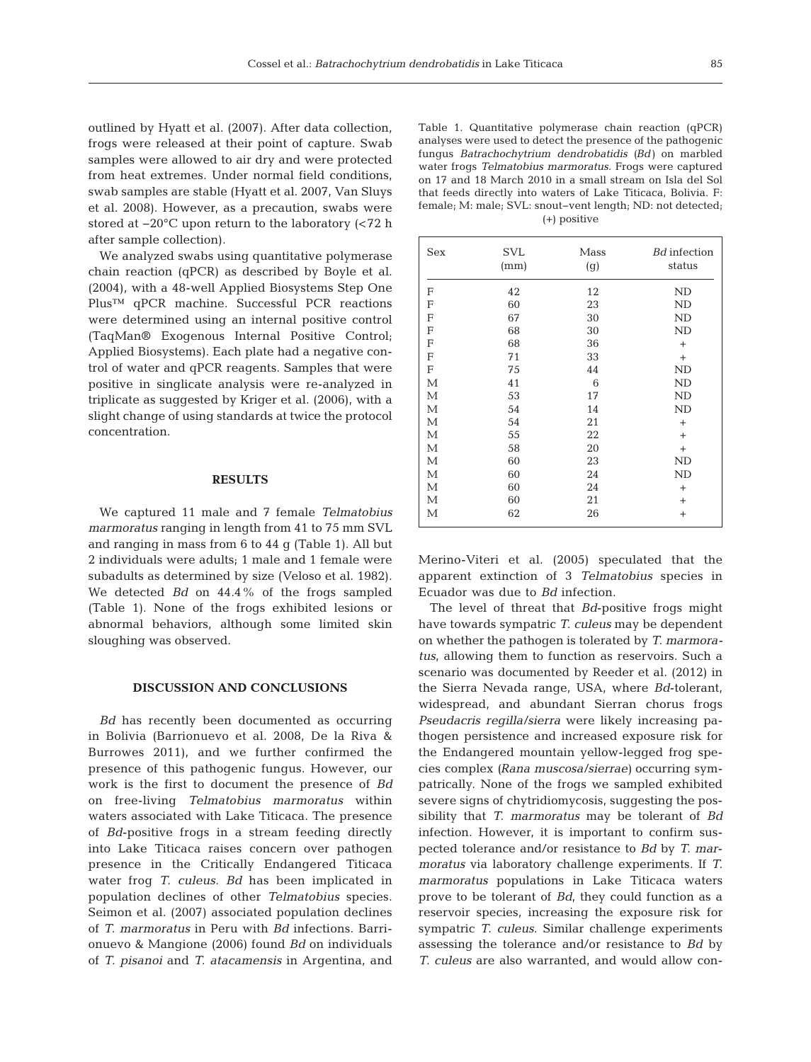outlined by Hyatt et al. (2007). After data collection, frogs were released at their point of capture. Swab samples were allowed to air dry and were protected from heat extremes. Under normal field conditions, swab samples are stable (Hyatt et al. 2007, Van Sluys et al. 2008). However, as a precaution, swabs were stored at −20°C upon return to the laboratory (<72 h after sample collection).

We analyzed swabs using quantitative polymerase chain reaction (qPCR) as described by Boyle et al. (2004), with a 48-well Applied Biosystems Step One Plus™ qPCR machine. Successful PCR reactions were determined using an internal positive control (TaqMan® Exogenous Internal Positive Control; Applied Biosystems). Each plate had a negative control of water and qPCR reagents. Samples that were positive in singlicate analysis were re-analyzed in triplicate as suggested by Kriger et al. (2006), with a slight change of using standards at twice the protocol concentration.

#### **RESULTS**

We captured 11 male and 7 female *Telmatobius marmoratus* ranging in length from 41 to 75 mm SVL and ranging in mass from 6 to 44 g (Table 1). All but 2 individuals were adults; 1 male and 1 female were subadults as determined by size (Veloso et al. 1982). We detected *Bd* on 44.4% of the frogs sampled (Table 1). None of the frogs exhibited lesions or abnormal behaviors, although some limited skin sloughing was observed.

## **DISCUSSION AND CONCLUSIONS**

*Bd* has recently been documented as occurring in Bolivia (Barrionuevo et al. 2008, De la Riva & Burrowes 2011), and we further confirmed the presence of this pathogenic fungus. However, our work is the first to document the presence of *Bd* on free-living *Telmatobius marmoratus* within waters associated with Lake Titicaca. The presence of *Bd*-positive frogs in a stream feeding directly into Lake Titicaca raises concern over pathogen presence in the Critically Endangered Titicaca water frog *T. culeus*. *Bd* has been implicated in population declines of other *Telmatobius* species. Seimon et al. (2007) associated population declines of *T. marmoratus* in Peru with *Bd* infections. Barri onuevo & Mangione (2006) found *Bd* on individuals of *T. pisanoi* and *T. atacamensis* in Argentina, and

Table 1. Quantitative polymerase chain reaction (qPCR) analyses were used to detect the presence of the pathogenic fungus *Batrachochytrium dendrobatidis (Bd)* on marbled water frogs *Telmatobius marmoratus*. Frogs were captured on 17 and 18 March 2010 in a small stream on Isla del Sol that feeds directly into waters of Lake Titicaca, Bolivia. F: female; M: male; SVL: snout−vent length; ND: not detected; (+) positive

| <b>Sex</b> | <b>SVL</b><br>(mm) | Mass<br>(g) | <b>Bd</b> infection<br>status |
|------------|--------------------|-------------|-------------------------------|
| F          | 42                 | 12          | ND                            |
| F          | 60                 | 23          | ND                            |
| F          | 67                 | 30          | ND                            |
| F          | 68                 | 30          | ND                            |
| F          | 68                 | 36          | $+$                           |
| F          | 71                 | 33          | $^{+}$                        |
| F          | 75                 | 44          | <b>ND</b>                     |
| М          | 41                 | 6           | ND                            |
| М          | 53                 | 17          | <b>ND</b>                     |
| М          | 54                 | 14          | ND                            |
| М          | 54                 | 21          | $+$                           |
| М          | 55                 | 22          | $+$                           |
| М          | 58                 | 20          | $^{+}$                        |
| М          | 60                 | 23          | ND                            |
| М          | 60                 | 24          | ND                            |
| М          | 60                 | 24          | $+$                           |
| М          | 60                 | 21          | $\ddot{}$                     |
| М          | 62                 | 26          | $+$                           |

Merino-Viteri et al. (2005) speculated that the apparent extinction of 3 *Telmatobius* species in Ecuador was due to *Bd* infection.

The level of threat that *Bd*-positive frogs might have towards sympatric *T. culeus* may be dependent on whether the pathogen is tolerated by *T. marmoratus*, allowing them to function as reservoirs. Such a scenario was documented by Reeder et al. (2012) in the Sierra Nevada range, USA, where *Bd*-tolerant, widespread, and abundant Sierran chorus frogs *Pseudacris regilla/sierra* were likely increasing pathogen persistence and increased exposure risk for the Endangered mountain yellow-legged frog species complex *(Rana muscosa/sierrae)* occurring sympatrically. None of the frogs we sampled exhibited severe signs of chytridiomycosis, suggesting the possibility that *T. marmoratus* may be tolerant of *Bd* infection. However, it is important to confirm suspected tolerance and/or resistance to *Bd* by *T. marmoratus* via laboratory challenge experiments. If *T. marmoratus* populations in Lake Titicaca waters prove to be tolerant of *Bd*, they could function as a reservoir species, increasing the exposure risk for sympatric *T. culeus*. Similar challenge experiments assessing the tolerance and/or resistance to *Bd* by *T. culeus* are also warranted, and would allow con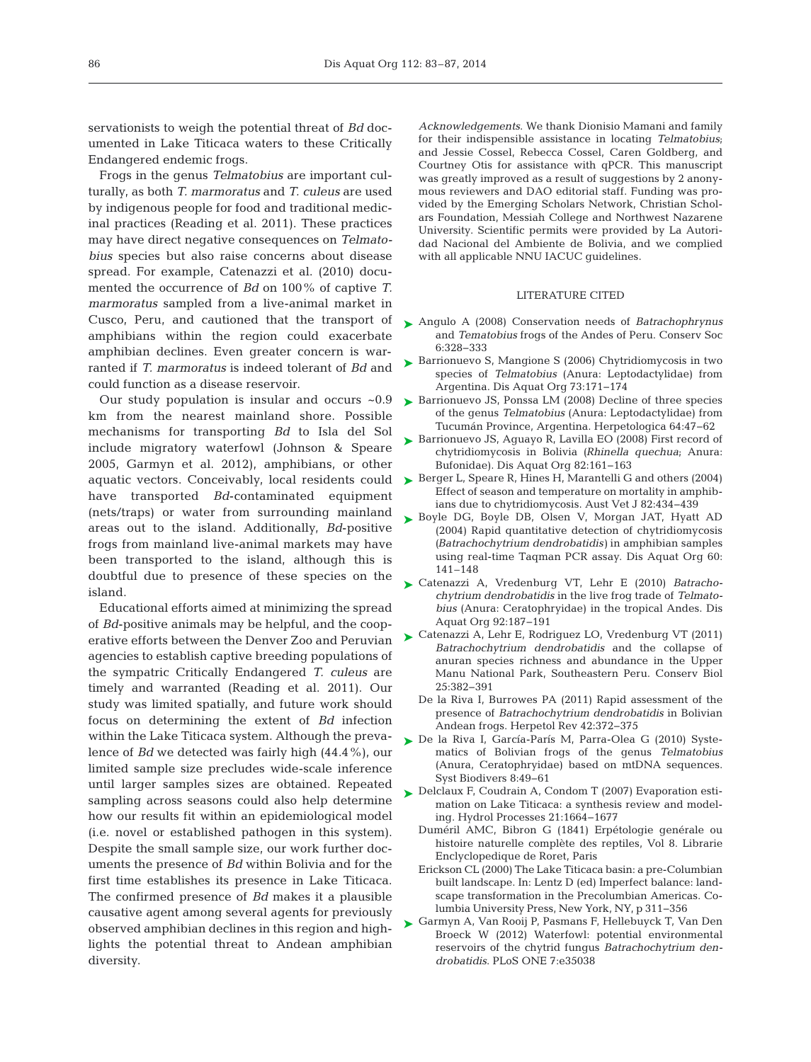servationists to weigh the potential threat of *Bd* documented in Lake Titicaca waters to these Critically Endangered endemic frogs.

Frogs in the genus *Telmatobius* are important culturally, as both *T. marmoratus* and *T. culeus* are used by indigenous people for food and traditional medicinal practices (Reading et al. 2011). These practices may have direct negative consequences on *Telmatobius* species but also raise concerns about disease spread. For example, Catenazzi et al. (2010) documented the occurrence of *Bd* on 100% of captive *T. marmoratus* sampled from a live-animal market in Cusco, Peru, and cautioned that the transport of amphibians within the region could exacerbate amphibian declines. Even greater concern is warranted if *T. marmoratus* is indeed tolerant of *Bd* and could function as a disease reservoir.

Our study population is insular and occurs ~0.9 km from the nearest mainland shore. Possible mechanisms for transporting *Bd* to Isla del Sol include migratory waterfowl (Johnson & Speare 2005, Garmyn et al. 2012), amphibians, or other aquatic vectors. Conceivably, local residents could have transported *Bd*-contaminated equipment (nets/traps) or water from surrounding mainland areas out to the island. Additionally, *Bd*-positive frogs from mainland live-animal markets may have been transported to the island, although this is doubtful due to presence of these species on the island.

Educational efforts aimed at minimizing the spread of *Bd*-positive animals may be helpful, and the cooperative efforts between the Denver Zoo and Peruvian agencies to establish captive breeding populations of the sympatric Critically Endangered *T. culeus* are timely and warranted (Reading et al. 2011). Our study was limited spatially, and future work should focus on determining the extent of *Bd* infection within the Lake Titicaca system. Although the prevalence of *Bd* we detected was fairly high (44.4%), our limited sample size precludes wide-scale inference until larger samples sizes are obtained. Repeated sampling across seasons could also help determine how our results fit within an epidemiological model (i.e. novel or established pathogen in this system). Despite the small sample size, our work further documents the presence of *Bd* within Bolivia and for the first time establishes its presence in Lake Titicaca. The confirmed presence of *Bd* makes it a plausible causative agent among several agents for previously observed amphibian declines in this region and highlights the potential threat to Andean amphibian diversity.

*Acknowledgements*. We thank Dionisio Mamani and family for their indispensible assistance in locating *Telmatobius*; and Jessie Cossel, Rebecca Cossel, Caren Goldberg, and Courtney Otis for assistance with qPCR. This manuscript was greatly improved as a result of suggestions by 2 anonymous reviewers and DAO editorial staff. Funding was provided by the Emerging Scholars Network, Christian Scholars Foundation, Messiah College and Northwest Nazarene University. Scientific permits were provided by La Autoridad Nacional del Ambiente de Bolivia, and we complied with all applicable NNU IACUC guidelines.

### LITERATURE CITED

- [Angulo A \(2008\) Conservation needs of](http://dx.doi.org/10.4103/0972-4923.49196) *Batrachophrynus* ➤ and *Tematobius* frogs of the Andes of Peru. Conserv Soc 6: 328−333
- ► [Barrionuevo S, Mangione S \(2006\) Chytridiomycosis in two](http://dx.doi.org/10.3354/dao073171) species of *Telmatobius* (Anura: Leptodactylidae) from Argentina. Dis Aquat Org 73: 171−174
- ► [Barrionuevo JS, Ponssa LM \(2008\) Decline of three species](http://dx.doi.org/10.1655/06-057.1) of the genus *Telmatobius* (Anura:Leptodactylidae) from Tucumán Province, Argentina. Herpetologica 64:47-62
- ► [Barrionuevo JS, Aguayo R, Lavilla EO \(2008\) First record of](http://dx.doi.org/10.3354/dao01980) chytridiomycosis in Bolivia *(Rhinella quechua*; Anura: Bufonidae). Dis Aquat Org 82: 161−163
- ► [Berger L, Speare R, Hines H, Marantelli G and others \(2004\)](http://www.ncbi.nlm.nih.gov/entrez/query.fcgi?cmd=Retrieve&db=PubMed&list_uids=15354853&dopt=Abstract) Effect of season and temperature on mortality in amphibians due to chytridiomycosis. Aust Vet J 82:434-439
- ▶ [Boyle DG, Boyle DB, Olsen V, Morgan JAT, Hyatt AD](http://dx.doi.org/10.3354/dao060141) (2004) Rapid quantitative detection of chytridiomycosis *(Batrachochytrium dendrobatidis)* in amphibian samples using real-time Taqman PCR assay. Dis Aquat Org 60: 141–148
- [Catenazzi A, Vredenburg VT, Lehr E \(2010\)](http://dx.doi.org/10.3354/dao02250) *Batracho -* ➤ *chytrium dendrobatidis* in the live frog trade of *Telmatobius* (Anura:Ceratophryidae) in the tropical Andes. Dis Aquat Org 92: 187−191
- ► [Catenazzi A, Lehr E, Rodriguez LO, Vredenburg VT \(2011\)](http://www.ncbi.nlm.nih.gov/entrez/query.fcgi?cmd=Retrieve&db=PubMed&list_uids=21054530&dopt=Abstract) *Batrachochytrium dendrobatidis* and the collapse of anuran species richness and abundance in the Upper Manu National Park, Southeastern Peru. Conserv Biol 25: 382−391
	- De la Riva I, Burrowes PA (2011) Rapid assessment of the presence of *Batrachochytrium dendrobatidis* in Bolivian Andean frogs. Herpetol Rev 42: 372−375
- ▶ De la Riva I, García-París M, Parra-Olea G (2010) Systematics of Bolivian frogs of the genus *Telmatobius* (Anura, Ceratophryidae) based on mtDNA sequences. Syst Biodivers 8: 49−61
- ▶ [Delclaux F, Coudrain A, Condom T \(2007\) Evaporation esti](http://dx.doi.org/10.1002/hyp.6360)mation on Lake Titicaca: a synthesis review and modeling. Hydrol Processes 21: 1664−1677
	- Duméril AMC, Bibron G (1841) Erpétologie genérale ou histoire naturelle complète des reptiles, Vol 8. Librarie Enclyclopedique de Roret, Paris
	- Erickson CL (2000) The Lake Titicaca basin: a pre-Columbian built landscape. In: Lentz D (ed) Imperfect balance: landscape transformation in the Precolumbian Americas. Columbia University Press, New York, NY, p 311−356
- [Garmyn A, Van Rooij P, Pasmans F, Hellebuyck T, Van Den](http://dx.doi.org/10.1371/journal.pone.0035038) ➤Broeck W (2012) Waterfowl: potential environmental reservoirs of the chytrid fungus *Batrachochytrium dendrobatidis*. PLoS ONE 7: e35038